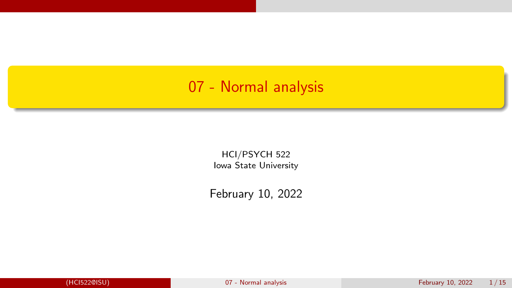### <span id="page-0-0"></span>07 - Normal analysis

HCI/PSYCH 522 Iowa State University

February 10, 2022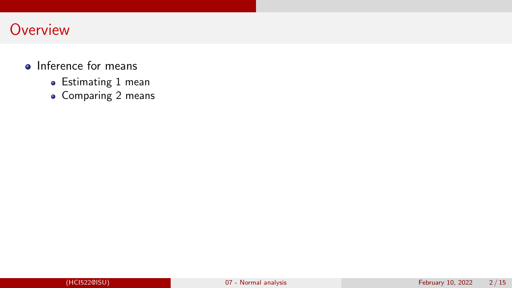# **Overview**

### • Inference for means

- **•** Estimating 1 mean
- Comparing 2 means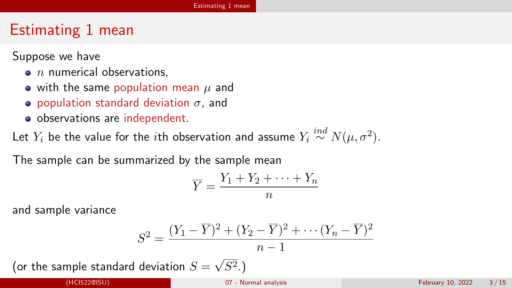# <span id="page-2-0"></span>Estimating 1 mean

Suppose we have

- $\bullet$  *n* numerical observations.
- with the same population mean  $\mu$  and
- **•** population standard deviation  $\sigma$ , and
- observations are independent.

Let  $Y_i$  be the value for the  $i$ th observation and assume  $Y_i \stackrel{ind}{\sim} N(\mu,\sigma^2).$ 

The sample can be summarized by the sample mean

$$
\overline{Y} = \frac{Y_1 + Y_2 + \dots + Y_n}{n}
$$

and sample variance

$$
S^{2} = \frac{(Y_{1} - \overline{Y})^{2} + (Y_{2} - \overline{Y})^{2} + \cdots (Y_{n} - \overline{Y})^{2}}{n-1}
$$

(or the sample standard deviation  $S=\,$ √ S2.)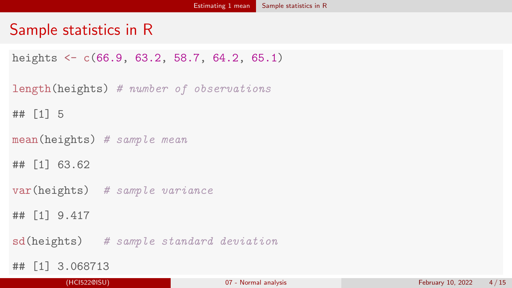### <span id="page-3-0"></span>Sample statistics in R

```
heights <- c(66.9, 63.2, 58.7, 64.2, 65.1)
```

```
length(heights) # number of observations
```
## [1] 5

```
mean(heights) # sample mean
```
## [1] 63.62

var(heights) # sample variance

## [1] 9.417

sd(heights) # sample standard deviation

## [1] 3.068713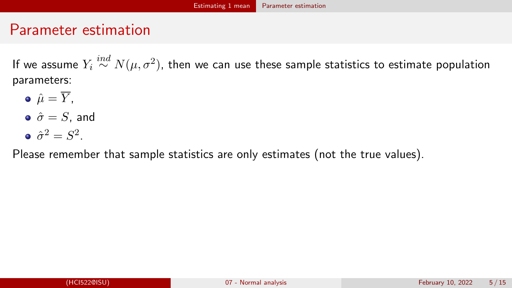### <span id="page-4-0"></span>Parameter estimation

If we assume  $Y_i \stackrel{ind}{\sim} N(\mu,\sigma^2)$ , then we can use these sample statistics to estimate population parameters:

- $\hat{u} = \overline{Y}$ .
- $\hat{\sigma} = S$ , and
- $\hat{\sigma}^2 = S^2$ .

Please remember that sample statistics are only estimates (not the true values).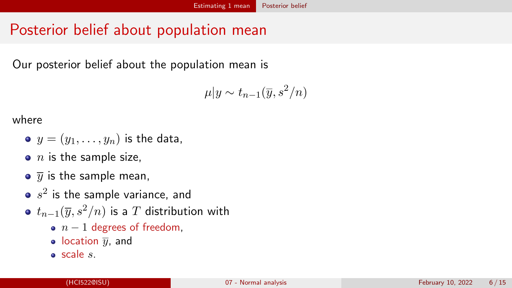# <span id="page-5-0"></span>Posterior belief about population mean

Our posterior belief about the population mean is

$$
\mu|y \sim t_{n-1}(\overline{y}, s^2/n)
$$

where

- $y = (y_1, \ldots, y_n)$  is the data,
- $\bullet$  *n* is the sample size,
- $\bullet \overline{y}$  is the sample mean,
- $s^2$  is the sample variance, and
- $t_{n-1}(\overline{y}, s^2/n)$  is a T distribution with
	- $n 1$  degrees of freedom,
	- location  $\overline{u}$ , and
	- $\bullet$  scale  $s$ .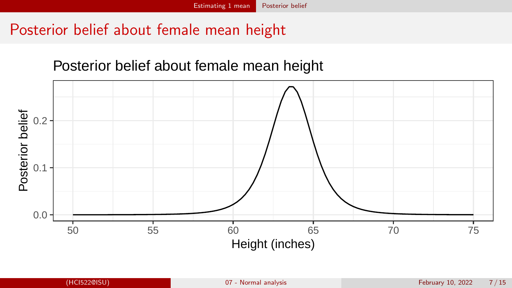# Posterior belief about female mean height

### Posterior belief about female mean height

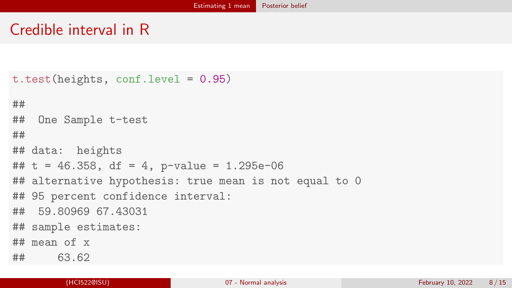# Credible interval in R

```
t.test(heights, conf.level = 0.95)
##
## One Sample t-test
##
## data: heights
## t = 46.358, df = 4, p-value = 1.295e-06
## alternative hypothesis: true mean is not equal to 0
## 95 percent confidence interval:
## 59.80969 67.43031
## sample estimates:
## mean of x
## 63.62
```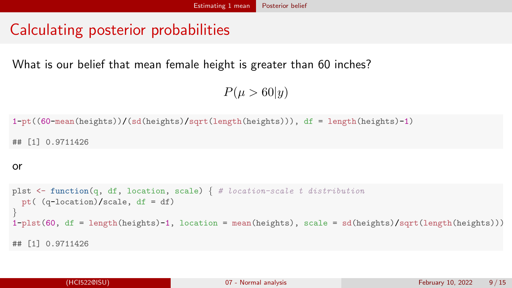# Calculating posterior probabilities

What is our belief that mean female height is greater than 60 inches?

 $P(\mu > 60|y)$ 

1-pt((60-mean(heights))/(sd(heights)/sqrt(length(heights))), df = length(heights)-1)

## [1] 0.9711426

### or

```
plst \leq function(q, df, location, scale) { # location-scale t distribution
 pt( (q-location)/scale, df = df)
}
1-plst(60, df = length(heights)-1, location = mean(heights), scale = sd(heights)/sqrt(length(heights)))
## [1] 0.9711426
```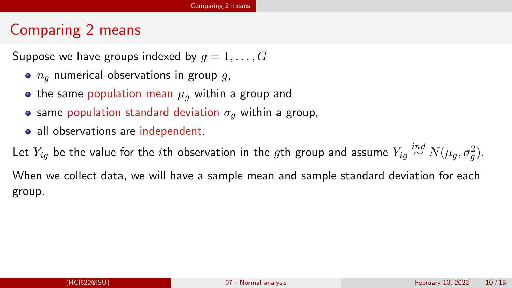# <span id="page-9-0"></span>Comparing 2 means

Suppose we have groups indexed by  $q = 1, \ldots, G$ 

- $\bullet$   $n_a$  numerical observations in group q,
- the same population mean  $\mu_q$  within a group and
- same population standard deviation  $\sigma_q$  within a group,
- all observations are independent.

Let  $Y_{ig}$  be the value for the  $i$ th observation in the  $g$ th group and assume  $Y_{ig} \stackrel{ind}{\sim} N(\mu_g, \sigma_g^2).$ When we collect data, we will have a sample mean and sample standard deviation for each group.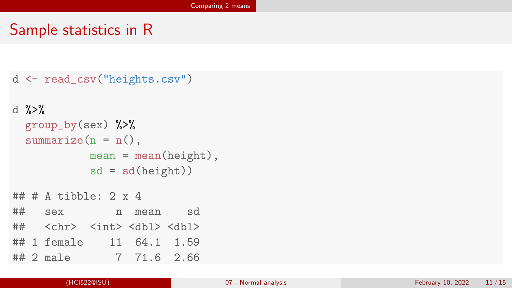# Sample statistics in R

```
d <- read_csv("heights.csv")
```

```
d \frac{9}{2}%
 group_by(sex) %>%
  summarize(n = n(),
           mean = mean(height),sd = sd(height))\# \# A tibble: 2 \times 4
## sex n mean sd
## <chr> <int> <dbl> <dbl>
## 1 female 11 64.1 1.59
## 2 male 7 71.6 2.66
```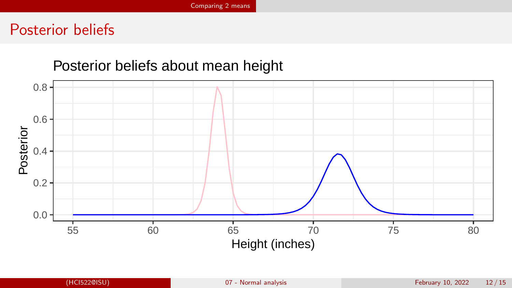## Posterior beliefs

### Posterior beliefs about mean height

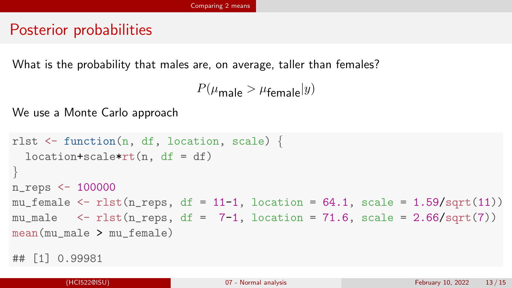### Posterior probabilities

What is the probability that males are, on average, taller than females?

```
P(\mu_{\text{male}} > \mu_{\text{female}} | y)
```
We use a Monte Carlo approach

```
rlst \leq function(n, df, location, scale) {
  location + scale * rt(n, df = df)}
n_reps <- 100000
mu_female \leq rlst(n_reps, df = 11-1, location = 64.1, scale = 1.59/sqrt(11))
mu_male \le rlst(n_reps, df = 7-1, location = 71.6, scale = 2.66/sqrt(7))
mean(mu_male > mu_female)
```
## [1] 0.99981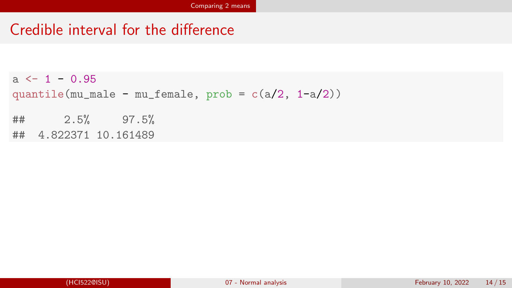## Credible interval for the difference

 $a \leq 1 - 0.95$ quantile(mu\_male - mu\_female, prob =  $c(a/2, 1-a/2)$ ) ## 2.5% 97.5% ## 4.822371 10.161489